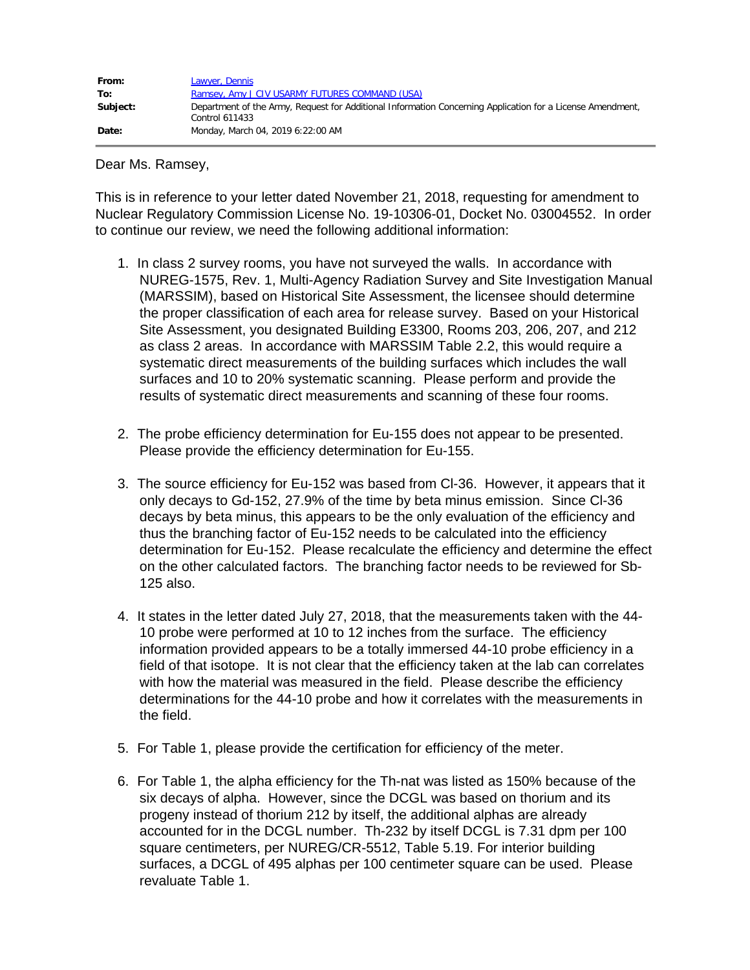| From:    | Lawyer, Dennis                                                                                             |
|----------|------------------------------------------------------------------------------------------------------------|
| To:      | Ramsey, Amy J CIV USARMY FUTURES COMMAND (USA)                                                             |
| Subject: | Department of the Army, Request for Additional Information Concerning Application for a License Amendment, |
|          | Control 611433                                                                                             |
| Date:    | Monday, March 04, 2019 6:22:00 AM                                                                          |

Dear Ms. Ramsey,

This is in reference to your letter dated November 21, 2018, requesting for amendment to Nuclear Regulatory Commission License No. 19-10306-01, Docket No. 03004552. In order to continue our review, we need the following additional information:

- 1. In class 2 survey rooms, you have not surveyed the walls. In accordance with NUREG-1575, Rev. 1, Multi-Agency Radiation Survey and Site Investigation Manual (MARSSIM), based on Historical Site Assessment, the licensee should determine the proper classification of each area for release survey. Based on your Historical Site Assessment, you designated Building E3300, Rooms 203, 206, 207, and 212 as class 2 areas. In accordance with MARSSIM Table 2.2, this would require a systematic direct measurements of the building surfaces which includes the wall surfaces and 10 to 20% systematic scanning. Please perform and provide the results of systematic direct measurements and scanning of these four rooms.
- 2. The probe efficiency determination for Eu-155 does not appear to be presented. Please provide the efficiency determination for Eu-155.
- 3. The source efficiency for Eu-152 was based from Cl-36. However, it appears that it only decays to Gd-152, 27.9% of the time by beta minus emission. Since Cl-36 decays by beta minus, this appears to be the only evaluation of the efficiency and thus the branching factor of Eu-152 needs to be calculated into the efficiency determination for Eu-152. Please recalculate the efficiency and determine the effect on the other calculated factors. The branching factor needs to be reviewed for Sb-125 also.
- 4. It states in the letter dated July 27, 2018, that the measurements taken with the 44- 10 probe were performed at 10 to 12 inches from the surface. The efficiency information provided appears to be a totally immersed 44-10 probe efficiency in a field of that isotope. It is not clear that the efficiency taken at the lab can correlates with how the material was measured in the field. Please describe the efficiency determinations for the 44-10 probe and how it correlates with the measurements in the field.
- 5. For Table 1, please provide the certification for efficiency of the meter.
- 6. For Table 1, the alpha efficiency for the Th-nat was listed as 150% because of the six decays of alpha. However, since the DCGL was based on thorium and its progeny instead of thorium 212 by itself, the additional alphas are already accounted for in the DCGL number. Th-232 by itself DCGL is 7.31 dpm per 100 square centimeters, per NUREG/CR-5512, Table 5.19. For interior building surfaces, a DCGL of 495 alphas per 100 centimeter square can be used. Please revaluate Table 1.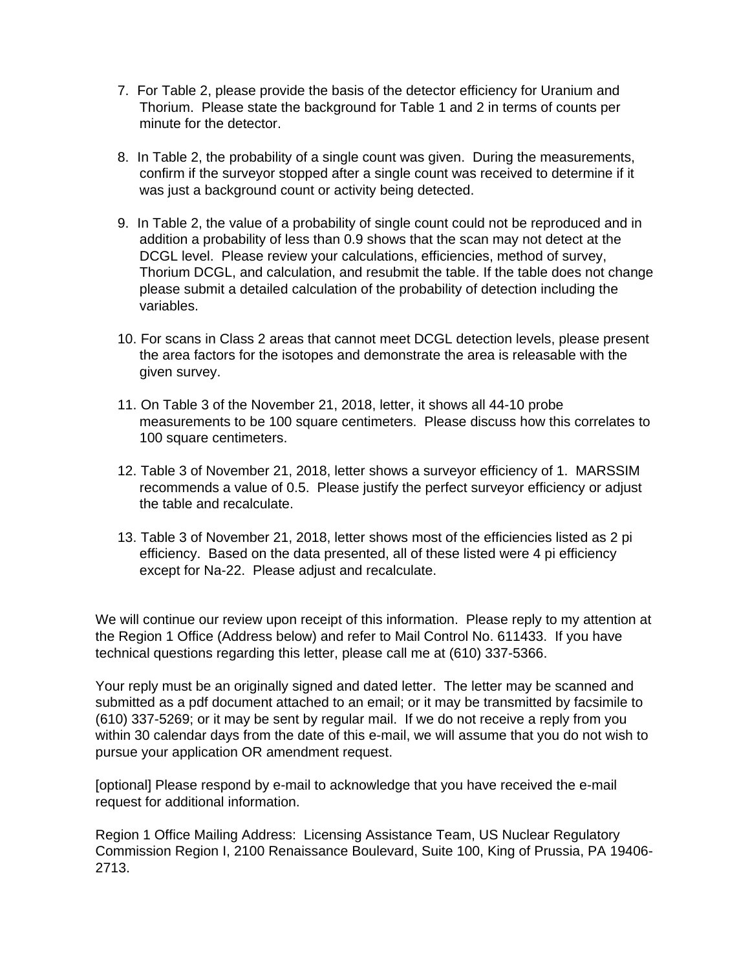- 7. For Table 2, please provide the basis of the detector efficiency for Uranium and Thorium. Please state the background for Table 1 and 2 in terms of counts per minute for the detector.
- 8. In Table 2, the probability of a single count was given. During the measurements, confirm if the surveyor stopped after a single count was received to determine if it was just a background count or activity being detected.
- 9. In Table 2, the value of a probability of single count could not be reproduced and in addition a probability of less than 0.9 shows that the scan may not detect at the DCGL level. Please review your calculations, efficiencies, method of survey, Thorium DCGL, and calculation, and resubmit the table. If the table does not change please submit a detailed calculation of the probability of detection including the variables.
- 10. For scans in Class 2 areas that cannot meet DCGL detection levels, please present the area factors for the isotopes and demonstrate the area is releasable with the given survey.
- 11. On Table 3 of the November 21, 2018, letter, it shows all 44-10 probe measurements to be 100 square centimeters. Please discuss how this correlates to 100 square centimeters.
- 12. Table 3 of November 21, 2018, letter shows a surveyor efficiency of 1. MARSSIM recommends a value of 0.5. Please justify the perfect surveyor efficiency or adjust the table and recalculate.
- 13. Table 3 of November 21, 2018, letter shows most of the efficiencies listed as 2 pi efficiency. Based on the data presented, all of these listed were 4 pi efficiency except for Na-22. Please adjust and recalculate.

We will continue our review upon receipt of this information. Please reply to my attention at the Region 1 Office (Address below) and refer to Mail Control No. 611433. If you have technical questions regarding this letter, please call me at (610) 337-5366.

Your reply must be an originally signed and dated letter. The letter may be scanned and submitted as a pdf document attached to an email; or it may be transmitted by facsimile to (610) 337-5269; or it may be sent by regular mail. If we do not receive a reply from you within 30 calendar days from the date of this e-mail, we will assume that you do not wish to pursue your application OR amendment request.

[optional] Please respond by e-mail to acknowledge that you have received the e-mail request for additional information.

Region 1 Office Mailing Address: Licensing Assistance Team, US Nuclear Regulatory Commission Region I, 2100 Renaissance Boulevard, Suite 100, King of Prussia, PA 19406- 2713.